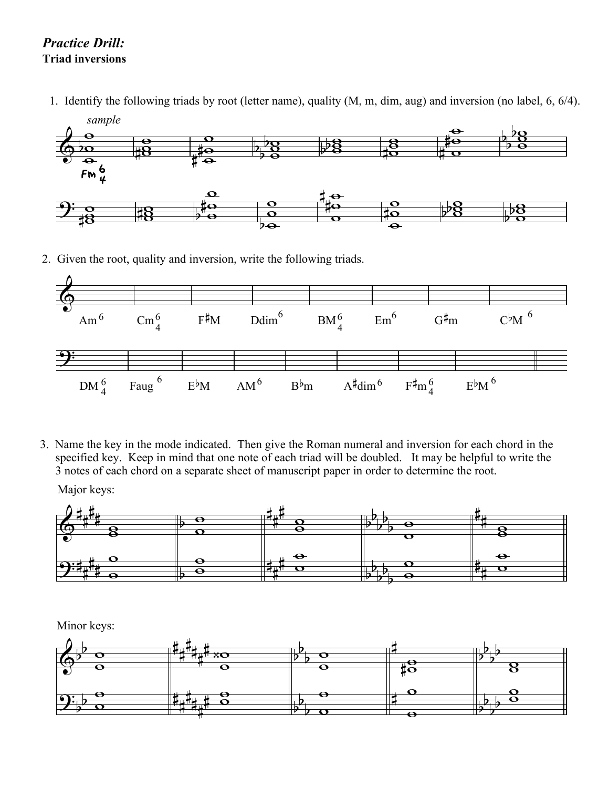## *Practice Drill:* **Triad inversions**

1. Identify the following triads by root (letter name), quality (M, m, dim, aug) and inversion (no label, 6, 6/4).



2. Given the root, quality and inversion, write the following triads.



3. Name the key in the mode indicated. Then give the Roman numeral and inversion for each chord in the specified key. Keep in mind that one note of each triad will be doubled. It may be helpful to write the 3 notes of each chord on a separate sheet of manuscript paper in order to determine the root.

Major keys:



Minor keys: